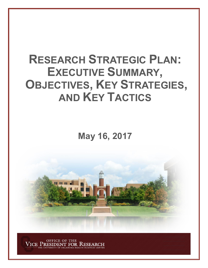# **RESEARCH STRATEGIC PLAN: EXECUTIVE SUMMARY, OBJECTIVES, KEY STRATEGIES, AND KEY TACTICS**

**May 16, 2017**



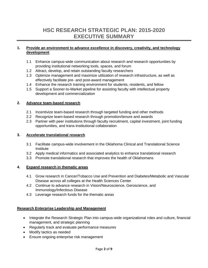# **HSC RESEARCH STRATEGIC PLAN: 2015-2020 EXECUTIVE SUMMARY**

#### **1. Provide an environment to advance excellence in discovery, creativity, and technology development**

- 1.1 Enhance campus-wide communication about research and research opportunities by providing institutional networking tools, spaces, and forum
- 1.2 Attract, develop, and retain outstanding faculty researchers
- 1.3 Optimize management and maximize utilization of research infrastructure, as well as effectively facilitate pre- and post-award management
- 1.4 Enhance the research training environment for students, residents, and fellow
- 1.5 Support a Sooner-to-Market pipeline for assisting faculty with intellectual property development and commercialization

#### **2. Advance team-based research**

- 2.1 Incentivize team-based research through targeted funding and other methods
- 2.2 Recognize team-based research through promotion/tenure and awards
- 2.3 Partner with peer institutions through faculty recruitment, capital investment, joint funding opportunities, and trans-institutional collaboration

#### **3. Accelerate translational research**

- 3.1 Facilitate campus-wide involvement in the Oklahoma Clinical and Translational Science Institute
- 3.2 Apply medical informatics and associated analytics to enhance translational research
- 3.3 Promote translational research that improves the health of Oklahomans

# **4. Expand research in thematic areas**

- 4.1 Grow research in Cancer/Tobacco Use and Prevention and Diabetes/Metabolic and Vascular Disease across all colleges at the Health Sciences Center
- 4.2 Continue to advance research in Vision/Neuroscience, Geroscience, and Immunology/Infectious Disease
- 4.3 Leverage research funds for the thematic areas

# **Research Enterprise Leadership and Management**

- Integrate the Research Strategic Plan into campus-wide organizational roles and culture, financial management, and strategic planning
- Regularly track and evaluate performance measures
- Modify tactics as needed
- Ensure ongoing enterprise risk management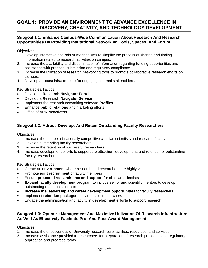# **GOAL 1: PROVIDE AN ENVIRONMENT TO ADVANCE EXCELLENCE IN DISCOVERY, CREATIVITY, AND TECHNOLOGY DEVELOPMENT**

# **Subgoal 1.1: Enhance Campus-Wide Communication About Research And Research Opportunities By Providing Institutional Networking Tools, Spaces, And Forum**

**Objectives** 

- 1. Develop interactive and robust mechanisms to simplify the process of sharing and finding information related to research activities on campus.
- 2. Increase the availability and dissemination of information regarding funding opportunities and assistance with proposal submission and regulatory compliance.
- 3. Increase the utilization of research networking tools to promote collaborative research efforts on campus.
- 4. Develop a robust infrastructure for engaging external stakeholders.

#### Key Strategies/Tactics

- Develop a **Research Navigator Portal**
- Develop a **Research Navigator Service**
- Implement the research networking software **Profiles**
- Enhance **public relations** and marketing efforts
- Office of VPR **Newsletter**

# **Subgoal 1.2: Attract, Develop, And Retain Outstanding Faculty Researchers**

**Objectives** 

- 1. Increase the number of nationally competitive clinician scientists and research faculty.
- 2. Develop outstanding faculty researchers.
- 3. Increase the retention of successful researchers.
- 4. Increase development efforts to support the attraction, development, and retention of outstanding faculty researchers.

#### Key Strategies/Tactics

- Create an **environment** where research and researchers are highly valued
- Promote **joint recruitment** of faculty members
- Ensure **protected research time and support** for clinician scientists
- **Expand faculty development program** to include senior and scientific mentors to develop outstanding research scientists
- **Increase the leadership and career development opportunities** for faculty researchers
- Implement **retention packages** for successful researchers
- Engage the administration and faculty in **development efforts** to support research

# **Subgoal 1.3: Optimize Management And Maximize Utilization Of Research Infrastructure, As Well As Effectively Facilitate Pre- And Post-Award Management**

#### **Objectives**

- 1. Increase the effectiveness of University research core facilities, resources, and services.
- 2. Increase assistance provided to researchers for preparation of research proposals and regulatory application and progress forms.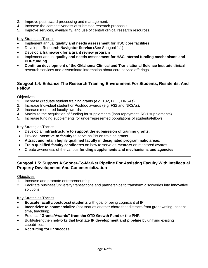- 3. Improve post-award processing and management.
- 4. Increase the competitiveness of submitted research proposals.
- 5. Improve services, availability, and use of central clinical research resources.

#### Key Strategies/Tactics

- Implement annual **quality and needs assessment for HSC core facilities**
- Develop a **Research Navigator Service** (See Subgoal 1.1)
- Develop a **framework for a grant review program**
- Implement annual **quality and needs assessment for HSC internal funding mechanisms and PHF funding**
- **Continue development of the Oklahoma Clinical and Translational Science Institute** clinical research services and disseminate information about core service offerings.

# **Subgoal 1.4: Enhance The Research Training Environment For Students, Residents, And Fellow**

#### **Objectives**

- 1. Increase graduate student training grants (e.g. T32, DOE, HRSAs).
- 2. Increase Individual student or Postdoc awards (e.g. F32 and NRSAs).
- 3. Increase mentored faculty awards.
- 4. Maximize the acquisition of funding for supplements (loan repayment, RO1 supplements).
- 5. Increase funding supplements for underrepresented populations of students/fellows.

#### Key Strategies/Tactics

- Develop an **infrastructure to support the submission of training grants**.
- Provide **incentive to faculty** to serve as PIs on training grants.
- **Attract and retain highly qualified faculty in designated programmatic areas**.
- **Train qualified faculty candidates** on how to serve as **mentors** on mentored awards.
- Create awareness of the various **funding supplements and mechanisms and agencies**.

# **Subgoal 1.5: Support A Sooner-To-Market Pipeline For Assisting Faculty With Intellectual Property Development And Commercialization**

#### **Objectives**

- 1. Increase and promote entrepreneurship.
- 2. Facilitate business/university transactions and partnerships to transform discoveries into innovative solutions.

- **Educate faculty/postdocs/ students** with goal of being cognizant of IP.
- **Incentivize to commercialize** (not treat as another chore that distracts from grant writing, patient time, teaching).
- Potential "**Grants/Awards" from the OTD Growth Fund or the PHF**.
- Build/strengthen networks that facilitate **IP development and pipeline** by unifying existing capabilities.
- **Recruiting for IP success**.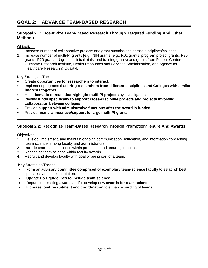# **GOAL 2: ADVANCE TEAM-BASED RESEARCH**

# **Subgoal 2.1: Incentivize Team-Based Research Through Targeted Funding And Other Methods**

#### **Objectives**

- 1. Increase number of collaborative projects and grant submissions across disciplines/colleges.
- 2. Increase number of multi-PI grants [e.g., NIH grants [e.g., R01 grants, program project grants, P30 grants, P20 grants, U grants, clinical trials, and training grants) and grants from Patient-Centered Outcome Research Institute, Health Resources and Services Administration, and Agency for Healthcare Research & Quality].

#### Key Strategies/Tactics

- Create **opportunities for researchers to interact**.
- Implement programs that **bring researchers from different disciplines and Colleges with similar interests together**.
- Host **thematic retreats that highlight multi-PI projects** by investigators.
- Identify **funds specifically to support cross-discipline projects and projects involving collaboration between colleges**.
- Provide **support with administrative functions after the award is funded**.
- Provide **financial incentive/support to large multi-PI grants**.

# **Subgoal 2.2: Recognize Team-Based ResearchThrough Promotion/Tenure And Awards**

#### **Objectives**

- 1. Develop, implement, and maintain ongoing communication, education, and information concerning 'team science' among faculty and administrators.
- 2. Include team-based science within promotion and tenure guidelines.
- 3. Recognize team science within faculty awards.
- 4. Recruit and develop faculty with goal of being part of a team.

- Form an **advisory committee comprised of exemplary team-science faculty** to establish best practices and implementation.
- **Update P&T guidelines to include team science**.
- Repurpose existing awards and/or develop new **awards for team science**.
- **Increase joint recruitment and coordination** to enhance building of teams.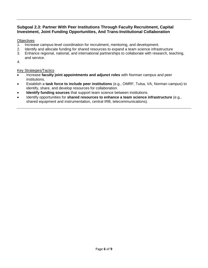# **Subgoal 2.3: Partner With Peer Institutions Through Faculty Recruitment, Capital Investment, Joint Funding Opportunities, And Trans-Institutional Collaboration**

# **Objectives**

- 1. Increase campus-level coordination for recruitment, mentoring, and development.
- 2. Identify and allocate funding for shared resources to expand a team science infrastructure
- 3. Enhance regional, national, and international partnerships to collaborate with research, teaching, and service.
- 4.

- Increase **faculty joint appointments and adjunct roles** with Norman campus and peer institutions.
- Establish a **task force to include peer institutions** (e.g., OMRF, Tulsa, VA, Norman campus) to identify, share, and develop resources for collaboration.
- **Identify funding sources** that support team science between institutions.
- Identify opportunities for **shared resources to enhance a team science infrastructure** (e.g., shared equipment and instrumentation, central IRB, telecommunications).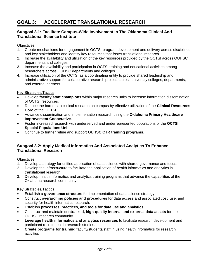# **GOAL 3: ACCELERATE TRANSLATIONAL RESEARCH**

# **Subgoal 3.1: Facilitate Campus-Wide Involvement In The Oklahoma Clinical And Translational Science Institute**

# **Objectives**

.

- 1. Create mechanisms for engagement in OCTSI program development and delivery across disciplines and key stakeholders and identify key resources that foster translational research.
- 2. Increase the availability and utilization of the key resources provided by the OCTSI across OUHSC departments and colleges.
- 3. Increase the availability and participation in OCTSI training and educational activities among researchers across OUHSC departments and colleges.
- 4. Increase utilization of the OCTSI as a coordinating entity to provide shared leadership and administrative support for collaborative research projects across university colleges, departments, and external partners.

# Key Strategies/Tactics

- Develop **faculty/staff champions** within major research units to increase information dissemination of OCTSI resources.
- Reduce the barriers to clinical research on campus by effective utilization of the **Clinical Resources Core** of the OCTSI
- Advance dissemination and implementation research using the **Oklahoma Primary Healthcare Improvement Cooperative**.
- Foster increased research with underserved and underrepresented populations of the **OCTSI Special Populations Unit.**
- Continue to further refine and support **OUHSC CTR training programs**.

# **Subgoal 3.2: Apply Medical Informatics And Associated Analytics To Enhance Translational Research**

# **Objectives**

- 1. Develop a strategy for unified application of data science with shared governance and focus.
- 2. Develop the infrastructure to facilitate the application of health informatics and analytics in translational research.
- 3. Develop health informatics and analytics training programs that advance the capabilities of the Oklahoma research community.

- Establish a **governance structure** for implementation of data science strategy.
- Construct **overarching policies and procedures** for data access and associated cost, use, and security for health informatics research.
- Establish **processes, practices, and tools for data use and analytics**.
- Construct and maintain **centralized, high-quality internal and external data assets** for the OUHSC research community.
- **Leverage health informatics and analytics resources** to facilitate research development and participant recruitment in research studies.
- **Create programs for training** faculty/students/staff in using health informatics for research activities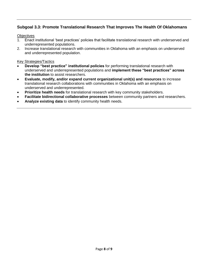# **Subgoal 3.3: Promote Translational Research That Improves The Health Of Oklahomans**

#### **Objectives**

- 1. Enact institutional 'best practices' policies that facilitate translational research with underserved and underrepresented populations.
- 2. Increase translational research with communities in Oklahoma with an emphasis on underserved and underrepresented population.

- **Develop "best practice" institutional policies** for performing translational research with underserved and underrepresented populations and **implement these "best practices" across the institution** to assist researchers.
- **Evaluate, modify, and/or expand current organizational unit(s) and resources** to increase translational research collaborations with communities in Oklahoma with an emphasis on underserved and underrepresented.
- **Prioritize health needs** for translational research with key community stakeholders.
- **Facilitate bidirectional collaborative processes** between community partners and researchers.
- **Analyze existing data** to identify community health needs.